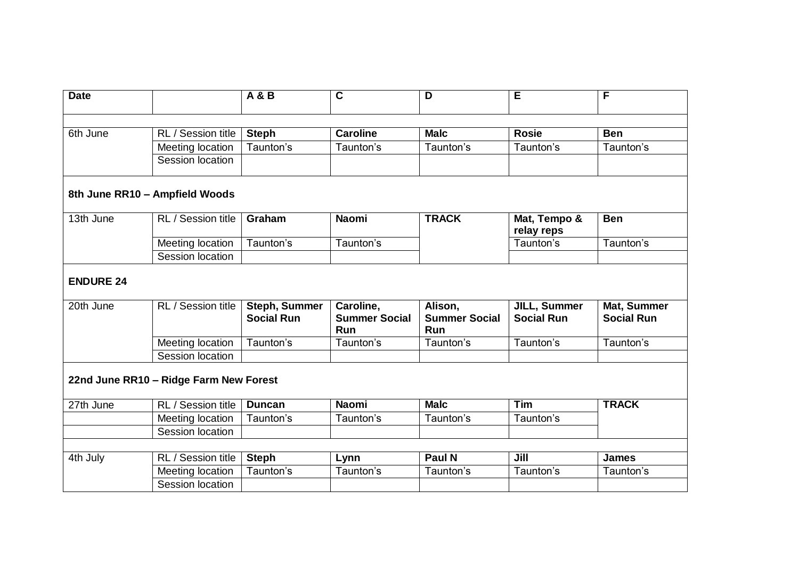| <b>Date</b>                   |                                        | A & B                                     | C                                 | D                               | E                                 | F                                |
|-------------------------------|----------------------------------------|-------------------------------------------|-----------------------------------|---------------------------------|-----------------------------------|----------------------------------|
|                               |                                        |                                           |                                   |                                 |                                   |                                  |
| 6th June                      | RL / Session title                     |                                           | <b>Caroline</b>                   | <b>Malc</b>                     | <b>Rosie</b>                      | <b>Ben</b>                       |
|                               |                                        | <b>Steph</b>                              |                                   |                                 |                                   |                                  |
|                               | Meeting location                       | Taunton's                                 | Taunton's                         | Taunton's                       | Taunton's                         | Taunton's                        |
|                               | Session location                       |                                           |                                   |                                 |                                   |                                  |
|                               | 8th June RR10 - Ampfield Woods         |                                           |                                   |                                 |                                   |                                  |
| 13th June                     | RL / Session title                     | Graham                                    | <b>Naomi</b>                      | <b>TRACK</b>                    | Mat, Tempo &<br>relay reps        | <b>Ben</b>                       |
|                               | Meeting location                       | Taunton's                                 | Taunton's                         |                                 | Taunton's                         | Taunton's                        |
|                               | Session location                       |                                           |                                   |                                 |                                   |                                  |
| <b>ENDURE 24</b><br>20th June | RL / Session title                     | <b>Steph, Summer</b><br><b>Social Run</b> | Caroline,<br><b>Summer Social</b> | Alison,<br><b>Summer Social</b> | JILL, Summer<br><b>Social Run</b> | Mat, Summer<br><b>Social Run</b> |
|                               | Meeting location                       | Taunton's                                 | <b>Run</b><br>Taunton's           | Run<br>Taunton's                | Taunton's                         | Taunton's                        |
|                               | Session location                       |                                           |                                   |                                 |                                   |                                  |
|                               | 22nd June RR10 - Ridge Farm New Forest |                                           |                                   |                                 |                                   |                                  |
| 27th June                     | RL / Session title                     | <b>Duncan</b>                             | <b>Naomi</b>                      | <b>Malc</b>                     | Tim                               | <b>TRACK</b>                     |
|                               | Meeting location                       | Taunton's                                 | Taunton's                         | Taunton's                       | Taunton's                         |                                  |
|                               | Session location                       |                                           |                                   |                                 |                                   |                                  |
|                               |                                        |                                           |                                   |                                 |                                   |                                  |
| 4th July                      | RL / Session title                     | <b>Steph</b>                              | Lynn                              | Paul N                          | Jill                              | <b>James</b>                     |
|                               | Meeting location                       | Taunton's                                 | Taunton's                         | Taunton's                       | Taunton's                         | Taunton's                        |
|                               | Session location                       |                                           |                                   |                                 |                                   |                                  |